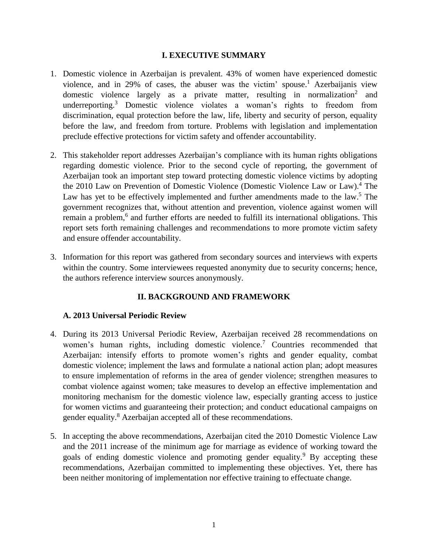#### **I. EXECUTIVE SUMMARY**

- 1. Domestic violence in Azerbaijan is prevalent. 43% of women have experienced domestic violence, and in 29% of cases, the abuser was the victim' spouse.<sup>1</sup> Azerbaijanis view domestic violence largely as a private matter, resulting in normalization<sup>2</sup> and underreporting. <sup>3</sup> Domestic violence violates a woman's rights to freedom from discrimination, equal protection before the law, life, liberty and security of person, equality before the law, and freedom from torture. Problems with legislation and implementation preclude effective protections for victim safety and offender accountability.
- 2. This stakeholder report addresses Azerbaijan's compliance with its human rights obligations regarding domestic violence. Prior to the second cycle of reporting, the government of Azerbaijan took an important step toward protecting domestic violence victims by adopting the 2010 Law on Prevention of Domestic Violence (Domestic Violence Law or Law).<sup>4</sup> The Law has yet to be effectively implemented and further amendments made to the law.<sup>5</sup> The government recognizes that, without attention and prevention, violence against women will remain a problem,<sup>6</sup> and further efforts are needed to fulfill its international obligations. This report sets forth remaining challenges and recommendations to more promote victim safety and ensure offender accountability.
- 3. Information for this report was gathered from secondary sources and interviews with experts within the country. Some interviewees requested anonymity due to security concerns; hence, the authors reference interview sources anonymously.

## **II. BACKGROUND AND FRAMEWORK**

## **A. 2013 Universal Periodic Review**

- 4. During its 2013 Universal Periodic Review, Azerbaijan received 28 recommendations on women's human rights, including domestic violence.<sup>7</sup> Countries recommended that Azerbaijan: intensify efforts to promote women's rights and gender equality, combat domestic violence; implement the laws and formulate a national action plan; adopt measures to ensure implementation of reforms in the area of gender violence; strengthen measures to combat violence against women; take measures to develop an effective implementation and monitoring mechanism for the domestic violence law, especially granting access to justice for women victims and guaranteeing their protection; and conduct educational campaigns on gender equality.<sup>8</sup> Azerbaijan accepted all of these recommendations.
- 5. In accepting the above recommendations, Azerbaijan cited the 2010 Domestic Violence Law and the 2011 increase of the minimum age for marriage as evidence of working toward the goals of ending domestic violence and promoting gender equality.<sup>9</sup> By accepting these recommendations, Azerbaijan committed to implementing these objectives. Yet, there has been neither monitoring of implementation nor effective training to effectuate change.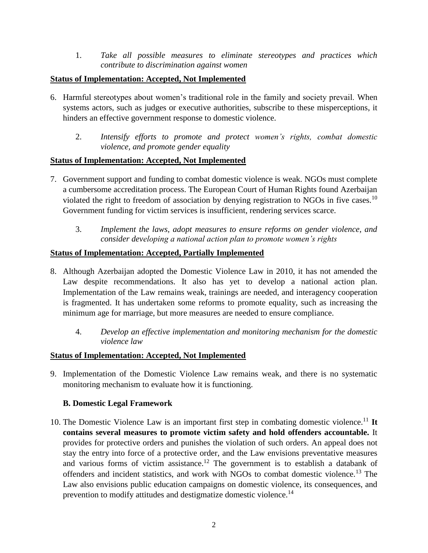1. *Take all possible measures to eliminate stereotypes and practices which contribute to discrimination against women*

## **Status of Implementation: Accepted, Not Implemented**

- 6. Harmful stereotypes about women's traditional role in the family and society prevail. When systems actors, such as judges or executive authorities, subscribe to these misperceptions, it hinders an effective government response to domestic violence.
	- 2. *Intensify efforts to promote and protect women's rights, combat domestic violence, and promote gender equality*

### **Status of Implementation: Accepted, Not Implemented**

- 7. Government support and funding to combat domestic violence is weak. NGOs must complete a cumbersome accreditation process. The European Court of Human Rights found Azerbaijan violated the right to freedom of association by denying registration to NGOs in five cases.<sup>10</sup> Government funding for victim services is insufficient, rendering services scarce.
	- 3. *Implement the laws, adopt measures to ensure reforms on gender violence, and consider developing a national action plan to promote women's rights*

### **Status of Implementation: Accepted, Partially Implemented**

- 8. Although Azerbaijan adopted the Domestic Violence Law in 2010, it has not amended the Law despite recommendations. It also has yet to develop a national action plan. Implementation of the Law remains weak, trainings are needed, and interagency cooperation is fragmented. It has undertaken some reforms to promote equality, such as increasing the minimum age for marriage, but more measures are needed to ensure compliance.
	- 4. *Develop an effective implementation and monitoring mechanism for the domestic violence law*

## **Status of Implementation: Accepted, Not Implemented**

9. Implementation of the Domestic Violence Law remains weak, and there is no systematic monitoring mechanism to evaluate how it is functioning.

## **B. Domestic Legal Framework**

10. The Domestic Violence Law is an important first step in combating domestic violence.<sup>11</sup> **It contains several measures to promote victim safety and hold offenders accountable.** It provides for protective orders and punishes the violation of such orders. An appeal does not stay the entry into force of a protective order, and the Law envisions preventative measures and various forms of victim assistance.<sup>12</sup> The government is to establish a databank of offenders and incident statistics, and work with NGOs to combat domestic violence.<sup>13</sup> The Law also envisions public education campaigns on domestic violence, its consequences, and prevention to modify attitudes and destigmatize domestic violence.<sup>14</sup>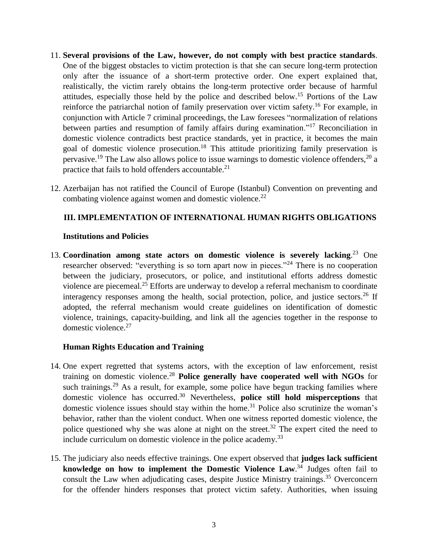- 11. **Several provisions of the Law, however, do not comply with best practice standards**. One of the biggest obstacles to victim protection is that she can secure long-term protection only after the issuance of a short-term protective order. One expert explained that, realistically, the victim rarely obtains the long-term protective order because of harmful attitudes, especially those held by the police and described below. <sup>15</sup> Portions of the Law reinforce the patriarchal notion of family preservation over victim safety.<sup>16</sup> For example, in conjunction with Article 7 criminal proceedings, the Law foresees "normalization of relations between parties and resumption of family affairs during examination."<sup>17</sup> Reconciliation in domestic violence contradicts best practice standards, yet in practice, it becomes the main goal of domestic violence prosecution.<sup>18</sup> This attitude prioritizing family preservation is pervasive.<sup>19</sup> The Law also allows police to issue warnings to domestic violence offenders,<sup>20</sup> a practice that fails to hold offenders accountable.<sup>21</sup>
- 12. Azerbaijan has not ratified the Council of Europe (Istanbul) Convention on preventing and combating violence against women and domestic violence.<sup>22</sup>

## **III. IMPLEMENTATION OF INTERNATIONAL HUMAN RIGHTS OBLIGATIONS**

#### **Institutions and Policies**

13. **Coordination among state actors on domestic violence is severely lacking**. <sup>23</sup> One researcher observed: "everything is so torn apart now in pieces."<sup>24</sup> There is no cooperation between the judiciary, prosecutors, or police, and institutional efforts address domestic violence are piecemeal.<sup>25</sup> Efforts are underway to develop a referral mechanism to coordinate interagency responses among the health, social protection, police, and justice sectors. $26$  If adopted, the referral mechanism would create guidelines on identification of domestic violence, trainings, capacity-building, and link all the agencies together in the response to domestic violence.<sup>27</sup>

#### **Human Rights Education and Training**

- 14. One expert regretted that systems actors, with the exception of law enforcement, resist training on domestic violence.<sup>28</sup> **Police generally have cooperated well with NGOs** for such trainings.<sup>29</sup> As a result, for example, some police have begun tracking families where domestic violence has occurred. <sup>30</sup> Nevertheless, **police still hold misperceptions** that domestic violence issues should stay within the home.<sup>31</sup> Police also scrutinize the woman's behavior, rather than the violent conduct. When one witness reported domestic violence, the police questioned why she was alone at night on the street.<sup>32</sup> The expert cited the need to include curriculum on domestic violence in the police academy.<sup>33</sup>
- 15. The judiciary also needs effective trainings. One expert observed that **judges lack sufficient knowledge on how to implement the Domestic Violence Law**. <sup>34</sup> Judges often fail to consult the Law when adjudicating cases, despite Justice Ministry trainings. <sup>35</sup> Overconcern for the offender hinders responses that protect victim safety. Authorities, when issuing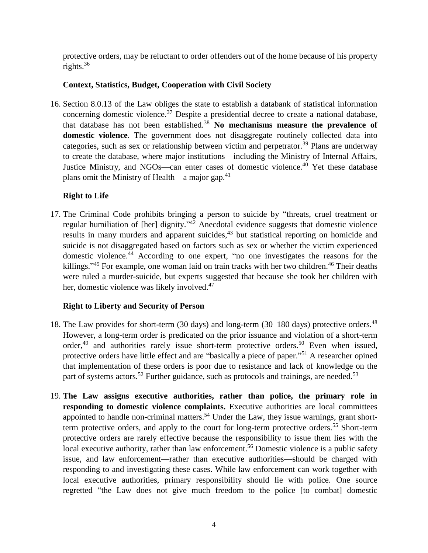protective orders, may be reluctant to order offenders out of the home because of his property rights.<sup>36</sup>

# **Context, Statistics, Budget, Cooperation with Civil Society**

16. Section 8.0.13 of the Law obliges the state to establish a databank of statistical information concerning domestic violence.<sup>37</sup> Despite a presidential decree to create a national database, that database has not been established.<sup>38</sup> **No mechanisms measure the prevalence of domestic violence**. The government does not disaggregate routinely collected data into categories, such as sex or relationship between victim and perpetrator.<sup>39</sup> Plans are underway to create the database, where major institutions—including the Ministry of Internal Affairs, Justice Ministry, and NGOs—can enter cases of domestic violence.<sup>40</sup> Yet these database plans omit the Ministry of Health—a major gap.<sup>41</sup>

# **Right to Life**

17. The Criminal Code prohibits bringing a person to suicide by "threats, cruel treatment or regular humiliation of [her] dignity."<sup>42</sup> Anecdotal evidence suggests that domestic violence results in many murders and apparent suicides,<sup>43</sup> but statistical reporting on homicide and suicide is not disaggregated based on factors such as sex or whether the victim experienced domestic violence. <sup>44</sup> According to one expert, "no one investigates the reasons for the killings."<sup>45</sup> For example, one woman laid on train tracks with her two children.<sup>46</sup> Their deaths were ruled a murder-suicide, but experts suggested that because she took her children with her, domestic violence was likely involved.<sup>47</sup>

# **Right to Liberty and Security of Person**

- 18. The Law provides for short-term (30 days) and long-term (30–180 days) protective orders.<sup>48</sup> However, a long-term order is predicated on the prior issuance and violation of a short-term order,<sup>49</sup> and authorities rarely issue short-term protective orders.<sup>50</sup> Even when issued, protective orders have little effect and are "basically a piece of paper."<sup>51</sup> A researcher opined that implementation of these orders is poor due to resistance and lack of knowledge on the part of systems actors.<sup>52</sup> Further guidance, such as protocols and trainings, are needed.<sup>53</sup>
- 19. **The Law assigns executive authorities, rather than police, the primary role in responding to domestic violence complaints.** Executive authorities are local committees appointed to handle non-criminal matters.<sup>54</sup> Under the Law, they issue warnings, grant shortterm protective orders, and apply to the court for long-term protective orders.<sup>55</sup> Short-term protective orders are rarely effective because the responsibility to issue them lies with the local executive authority, rather than law enforcement.<sup>56</sup> Domestic violence is a public safety issue, and law enforcement—rather than executive authorities—should be charged with responding to and investigating these cases. While law enforcement can work together with local executive authorities, primary responsibility should lie with police. One source regretted "the Law does not give much freedom to the police [to combat] domestic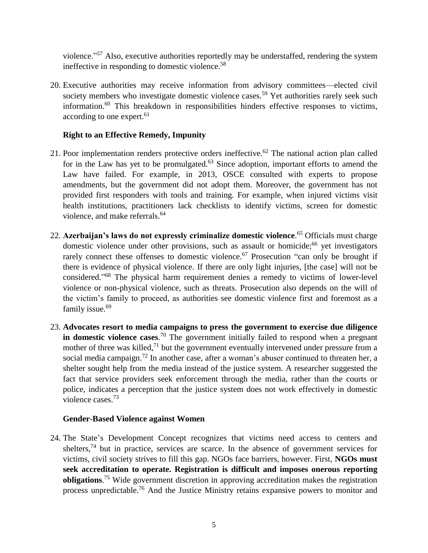violence."<sup>57</sup> Also, executive authorities reportedly may be understaffed, rendering the system ineffective in responding to domestic violence.<sup>58</sup>

20. Executive authorities may receive information from advisory committees—elected civil society members who investigate domestic violence cases.<sup>59</sup> Yet authorities rarely seek such information. <sup>60</sup> This breakdown in responsibilities hinders effective responses to victims, according to one expert. 61

## **Right to an Effective Remedy, Impunity**

- 21. Poor implementation renders protective orders ineffective.<sup>62</sup> The national action plan called for in the Law has yet to be promulgated.<sup>63</sup> Since adoption, important efforts to amend the Law have failed. For example, in 2013, OSCE consulted with experts to propose amendments, but the government did not adopt them. Moreover, the government has not provided first responders with tools and training. For example, when injured victims visit health institutions, practitioners lack checklists to identify victims, screen for domestic violence, and make referrals.<sup>64</sup>
- 22. **Azerbaijan's laws do not expressly criminalize domestic violence**. <sup>65</sup> Officials must charge domestic violence under other provisions, such as assault or homicide;<sup>66</sup> yet investigators rarely connect these offenses to domestic violence.<sup>67</sup> Prosecution "can only be brought if there is evidence of physical violence. If there are only light injuries, [the case] will not be considered." <sup>68</sup> The physical harm requirement denies a remedy to victims of lower-level violence or non-physical violence, such as threats. Prosecution also depends on the will of the victim's family to proceed, as authorities see domestic violence first and foremost as a family issue.<sup>69</sup>
- 23. **Advocates resort to media campaigns to press the government to exercise due diligence in domestic violence cases**. <sup>70</sup> The government initially failed to respond when a pregnant mother of three was killed,<sup>71</sup> but the government eventually intervened under pressure from a social media campaign.<sup>72</sup> In another case, after a woman's abuser continued to threaten her, a shelter sought help from the media instead of the justice system. A researcher suggested the fact that service providers seek enforcement through the media, rather than the courts or police, indicates a perception that the justice system does not work effectively in domestic violence cases. 73

#### **Gender-Based Violence against Women**

24. The State's Development Concept recognizes that victims need access to centers and shelters,<sup>74</sup> but in practice, services are scarce. In the absence of government services for victims, civil society strives to fill this gap. NGOs face barriers, however. First, **NGOs must seek accreditation to operate. Registration is difficult and imposes onerous reporting obligations**. <sup>75</sup> Wide government discretion in approving accreditation makes the registration process unpredictable.<sup>76</sup> And the Justice Ministry retains expansive powers to monitor and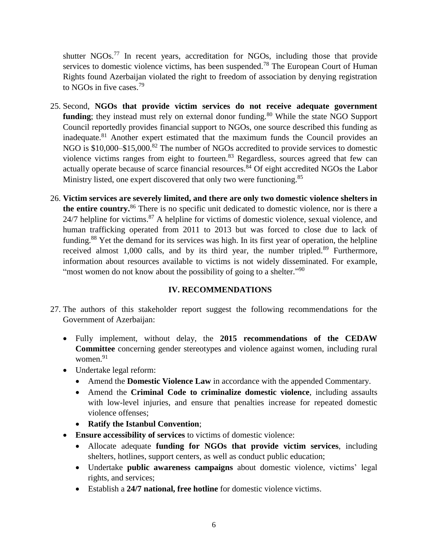shutter NGOs.<sup>77</sup> In recent years, accreditation for NGOs, including those that provide services to domestic violence victims, has been suspended.<sup>78</sup> The European Court of Human Rights found Azerbaijan violated the right to freedom of association by denying registration to NGOs in five cases.<sup>79</sup>

- 25. Second, **NGOs that provide victim services do not receive adequate government funding**; they instead must rely on external donor funding.<sup>80</sup> While the state NGO Support Council reportedly provides financial support to NGOs, one source described this funding as inadequate.<sup>81</sup> Another expert estimated that the maximum funds the Council provides an NGO is \$10,000–\$15,000.<sup>82</sup> The number of NGOs accredited to provide services to domestic violence victims ranges from eight to fourteen.<sup>83</sup> Regardless, sources agreed that few can actually operate because of scarce financial resources.<sup>84</sup> Of eight accredited NGOs the Labor Ministry listed, one expert discovered that only two were functioning.<sup>85</sup>
- 26. **Victim services are severely limited, and there are only two domestic violence shelters in the entire country.**<sup>86</sup> There is no specific unit dedicated to domestic violence, nor is there a 24/7 helpline for victims.<sup>87</sup> A helpline for victims of domestic violence, sexual violence, and human trafficking operated from 2011 to 2013 but was forced to close due to lack of funding.<sup>88</sup> Yet the demand for its services was high. In its first year of operation, the helpline received almost  $1,000$  calls, and by its third year, the number tripled.<sup>89</sup> Furthermore, information about resources available to victims is not widely disseminated. For example, "most women do not know about the possibility of going to a shelter."<sup>90</sup>

## **IV. RECOMMENDATIONS**

- 27. The authors of this stakeholder report suggest the following recommendations for the Government of Azerbaijan:
	- Fully implement, without delay, the **2015 recommendations of the CEDAW Committee** concerning gender stereotypes and violence against women, including rural women. 91
	- Undertake legal reform:
		- Amend the **Domestic Violence Law** in accordance with the appended Commentary.
		- Amend the **Criminal Code to criminalize domestic violence**, including assaults with low-level injuries, and ensure that penalties increase for repeated domestic violence offenses;
		- **Ratify the Istanbul Convention**;
	- **Ensure accessibility of services** to victims of domestic violence:
		- Allocate adequate **funding for NGOs that provide victim services**, including shelters, hotlines, support centers, as well as conduct public education;
		- Undertake **public awareness campaigns** about domestic violence, victims' legal rights, and services;
		- Establish a **24/7 national, free hotline** for domestic violence victims.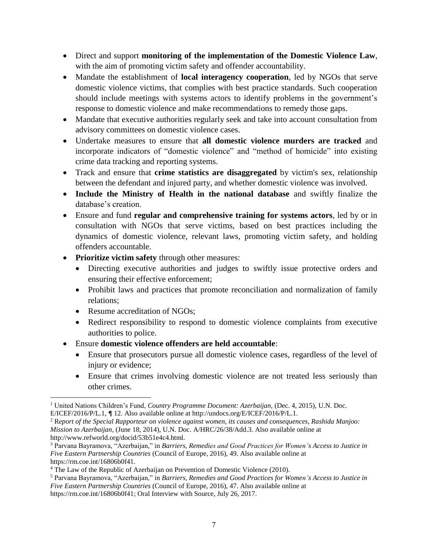- Direct and support **monitoring of the implementation of the Domestic Violence Law**, with the aim of promoting victim safety and offender accountability.
- Mandate the establishment of **local interagency cooperation**, led by NGOs that serve domestic violence victims, that complies with best practice standards. Such cooperation should include meetings with systems actors to identify problems in the government's response to domestic violence and make recommendations to remedy those gaps.
- Mandate that executive authorities regularly seek and take into account consultation from advisory committees on domestic violence cases.
- Undertake measures to ensure that **all domestic violence murders are tracked** and incorporate indicators of "domestic violence" and "method of homicide" into existing crime data tracking and reporting systems.
- Track and ensure that **crime statistics are disaggregated** by victim's sex, relationship between the defendant and injured party, and whether domestic violence was involved.
- **Include the Ministry of Health in the national database** and swiftly finalize the database's creation.
- Ensure and fund **regular and comprehensive training for systems actors**, led by or in consultation with NGOs that serve victims, based on best practices including the dynamics of domestic violence, relevant laws, promoting victim safety, and holding offenders accountable.
- **Prioritize victim safety** through other measures:
	- Directing executive authorities and judges to swiftly issue protective orders and ensuring their effective enforcement;
	- Prohibit laws and practices that promote reconciliation and normalization of family relations;
	- Resume accreditation of NGOs:
	- Redirect responsibility to respond to domestic violence complaints from executive authorities to police.
- Ensure **domestic violence offenders are held accountable**:
	- Ensure that prosecutors pursue all domestic violence cases, regardless of the level of injury or evidence;
	- Ensure that crimes involving domestic violence are not treated less seriously than other crimes.

 $\overline{\phantom{a}}$ <sup>1</sup> United Nations Children's Fund, *Country Programme Document: Azerbaijan,* (Dec. 4, 2015), U.N. Doc.

E/ICEF/2016/P/L.1, **¶** 12. Also available online at http://undocs.org/E/ICEF/2016/P/L.1.

<sup>2</sup> R*eport of the Special Rapporteur on violence against women, its causes and consequences, Rashida Manjoo: Mission to Azerbaijan*, (June 18, 2014), U.N. Doc. A/HRC/26/38/Add.3. Also available online at http://www.refworld.org/docid/53b51e4c4.html.

<sup>3</sup> Parvana Bayramova, "Azerbaijan," in *Barriers, Remedies and Good Practices for Women's Access to Justice in Five Eastern Partnership Countries* (Council of Europe, 2016), 49. Also available online at https://rm.coe.int/16806b0f41.

<sup>&</sup>lt;sup>4</sup> The Law of the Republic of Azerbaijan on Prevention of Domestic Violence (2010).

<sup>5</sup> Parvana Bayramova, "Azerbaijan," in *Barriers, Remedies and Good Practices for Women's Access to Justice in Five Eastern Partnership Countries* (Council of Europe, 2016), 47. Also available online at https://rm.coe.int/16806b0f41; Oral Interview with Source, July 26, 2017.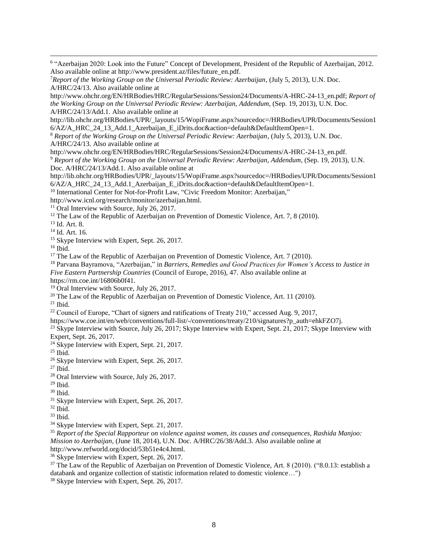6 "Azerbaijan 2020: Look into the Future" Concept of Development, President of the Republic of Azerbaijan, 2012. Also available online at http://www.president.az/files/future\_en.pdf.

http://www.ohchr.org/EN/HRBodies/HRC/RegularSessions/Session24/Documents/A-HRC-24-13\_en.pdf; *Report of the Working Group on the Universal Periodic Review: Azerbaijan, Addendum*, (Sep. 19, 2013), U.N. Doc. A/HRC/24/13/Add.1. Also available online at

http://lib.ohchr.org/HRBodies/UPR/\_layouts/15/WopiFrame.aspx?sourcedoc=/HRBodies/UPR/Documents/Session1 6/AZ/A\_HRC\_24\_13\_Add.1\_Azerbaijan\_E\_iDrits.doc&action=default&DefaultItemOpen=1.

<sup>8</sup> *Report of the Working Group on the Universal Periodic Review: Azerbaijan*, (July 5, 2013), U.N. Doc. A/HRC/24/13. Also available online at

http://www.ohchr.org/EN/HRBodies/HRC/RegularSessions/Session24/Documents/A-HRC-24-13\_en.pdf.

<sup>9</sup> *Report of the Working Group on the Universal Periodic Review: Azerbaijan, Addendum*, (Sep. 19, 2013), U.N. Doc. A/HRC/24/13/Add.1. Also available online at

http://lib.ohchr.org/HRBodies/UPR/\_layouts/15/WopiFrame.aspx?sourcedoc=/HRBodies/UPR/Documents/Session1 6/AZ/A\_HRC\_24\_13\_Add.1\_Azerbaijan\_E\_iDrits.doc&action=default&DefaultItemOpen=1.

<sup>10</sup> International Center for Not-for-Profit Law, "Civic Freedom Monitor: Azerbaijan,"

http://www.icnl.org/research/monitor/azerbaijan.html.

<sup>11</sup> Oral Interview with Source, July 26, 2017.

 $12$  The Law of the Republic of Azerbaijan on Prevention of Domestic Violence, Art. 7, 8 (2010).

<sup>13</sup> Id. Art. 8.

<sup>14</sup> Id. Art. 16.

<sup>15</sup> Skype Interview with Expert, Sept. 26, 2017.

 $16$  Ibid.

 $\overline{a}$ 

<sup>17</sup> The Law of the Republic of Azerbaijan on Prevention of Domestic Violence, Art. 7 (2010).

<sup>18</sup> Parvana Bayramova, "Azerbaijan," in *Barriers, Remedies and Good Practices for Women's Access to Justice in Five Eastern Partnership Countries* (Council of Europe, 2016), 47. Also available online at

https://rm.coe.int/16806b0f41.

<sup>19</sup> Oral Interview with Source, July 26, 2017.

<sup>20</sup> The Law of the Republic of Azerbaijan on Prevention of Domestic Violence, Art. 11 (2010).

 $21$  Ibid.

<sup>22</sup> Council of Europe, "Chart of signers and ratifications of Treaty 210," accessed Aug. 9, 2017,

https://www.coe.int/en/web/conventions/full-list/-/conventions/treaty/210/signatures?p\_auth=ehkFZO7j.

<sup>23</sup> Skype Interview with Source, July 26, 2017; Skype Interview with Expert, Sept. 21, 2017; Skype Interview with Expert, Sept. 26, 2017.

 $24$  Skype Interview with Expert, Sept. 21, 2017.

<sup>25</sup> Ibid.

<sup>26</sup> Skype Interview with Expert, Sept. 26, 2017.

<sup>27</sup> Ibid.

<sup>28</sup> Oral Interview with Source, July 26, 2017.

<sup>29</sup> Ibid.

 $30$  Ibid.

<sup>31</sup> Skype Interview with Expert, Sept. 26, 2017.

 $32$  Ibid.

 $33$  Ibid.

<sup>34</sup> Skype Interview with Expert, Sept. 21, 2017.

<sup>35</sup> *Report of the Special Rapporteur on violence against women, its causes and consequences, Rashida Manjoo: Mission to Azerbaijan*, (June 18, 2014), U.N. Doc. A/HRC/26/38/Add.3. Also available online at

http://www.refworld.org/docid/53b51e4c4.html.

<sup>36</sup> Skype Interview with Expert, Sept. 26, 2017.

<sup>37</sup> The Law of the Republic of Azerbaijan on Prevention of Domestic Violence, Art. 8 (2010). ("8.0.13: establish a databank and organize collection of statistic information related to domestic violence…")

<sup>38</sup> Skype Interview with Expert, Sept. 26, 2017.

<sup>7</sup>*Report of the Working Group on the Universal Periodic Review: Azerbaijan*, (July 5, 2013), U.N. Doc. A/HRC/24/13. Also available online at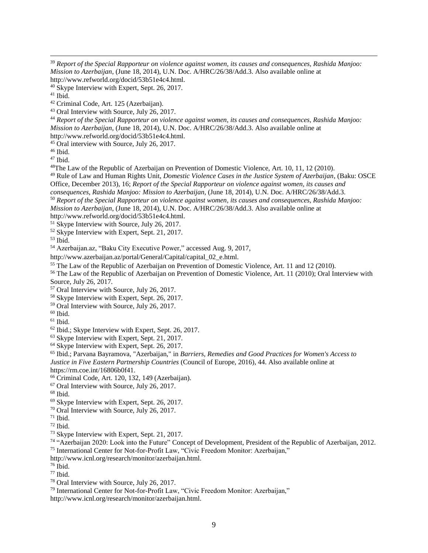*Report of the Special Rapporteur on violence against women, its causes and consequences, Rashida Manjoo: Mission to Azerbaijan*, (June 18, 2014), U.N. Doc. A/HRC/26/38/Add.3. Also available online at http://www.refworld.org/docid/53b51e4c4.html.

Ibid.

 $\overline{a}$ 

Oral Interview with Source, July 26, 2017.

 *Report of the Special Rapporteur on violence against women, its causes and consequences, Rashida Manjoo: Mission to Azerbaijan*, (June 18, 2014), U.N. Doc. A/HRC/26/38/Add.3. Also available online at

http://www.refworld.org/docid/53b51e4c4.html.

Oral interview with Source, July 26, 2017.

Ibid.

Ibid.

The Law of the Republic of Azerbaijan on Prevention of Domestic Violence, Art. 10, 11, 12 (2010).

 Rule of Law and Human Rights Unit, *Domestic Violence Cases in the Justice System of Azerbaijan*, (Baku: OSCE Office, December 2013), 16; *Report of the Special Rapporteur on violence against women, its causes and* 

*consequences, Rashida Manjoo: Mission to Azerbaijan*, (June 18, 2014), U.N. Doc. A/HRC/26/38/Add.3.

 *Report of the Special Rapporteur on violence against women, its causes and consequences, Rashida Manjoo: Mission to Azerbaijan*, (June 18, 2014), U.N. Doc. A/HRC/26/38/Add.3. Also available online at

http://www.refworld.org/docid/53b51e4c4.html.

- <sup>51</sup> Skype Interview with Source, July 26, 2017.
- Skype Interview with Expert, Sept. 21, 2017.

Ibid.

Azerbaijan.az, "Baku City Executive Power," accessed Aug. 9, 2017,

http://www.azerbaijan.az/portal/General/Capital/capital\_02\_e.html.

<sup>55</sup> The Law of the Republic of Azerbaijan on Prevention of Domestic Violence, Art. 11 and 12 (2010).

<sup>56</sup> The Law of the Republic of Azerbaijan on Prevention of Domestic Violence, Art. 11 (2010); Oral Interview with Source, July 26, 2017.

- Oral Interview with Source, July 26, 2017.
- Skype Interview with Expert, Sept. 26, 2017.
- Oral Interview with Source, July 26, 2017.
- Ibid.

- Ibid.; Skype Interview with Expert, Sept. 26, 2017.
- Skype Interview with Expert, Sept. 21, 2017.
- <sup>64</sup> Skype Interview with Expert, Sept. 26, 2017.

 Ibid.; Parvana Bayramova, "Azerbaijan," in *Barriers, Remedies and Good Practices for Women's Access to Justice in Five Eastern Partnership Countries* (Council of Europe, 2016), 44. Also available online at https://rm.coe.int/16806b0f41.

Criminal Code, Art. 120, 132, 149 (Azerbaijan).

Oral Interview with Source, July 26, 2017.

- Skype Interview with Expert, Sept. 26, 2017.
- Oral Interview with Source, July 26, 2017.
- Ibid.
- Ibid.
- Skype Interview with Expert, Sept. 21, 2017.
- <sup>74</sup> "Azerbaijan 2020: Look into the Future" Concept of Development, President of the Republic of Azerbaijan, 2012. International Center for Not-for-Profit Law, "Civic Freedom Monitor: Azerbaijan,"

http://www.icnl.org/research/monitor/azerbaijan.html.

Ibid.

- Ibid.
- Oral Interview with Source, July 26, 2017.

 International Center for Not-for-Profit Law, "Civic Freedom Monitor: Azerbaijan," http://www.icnl.org/research/monitor/azerbaijan.html.

Skype Interview with Expert, Sept. 26, 2017.

Criminal Code, Art. 125 (Azerbaijan).

Ibid.

Ibid.